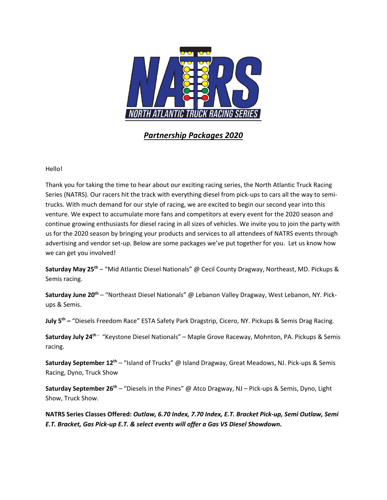

*Partnership Packages 2020*

Hello!

Thank you for taking the time to hear about our exciting racing series, the North Atlantic Truck Racing Series (NATRS). Our racers hit the track with everything diesel from pick-ups to cars all the way to semitrucks. With much demand for our style of racing, we are excited to begin our second year into this venture. We expect to accumulate more fans and competitors at every event for the 2020 season and continue growing enthusiasts for diesel racing in all sizes of vehicles. We invite you to join the party with us for the 2020 season by bringing your products and services to all attendees of NATRS events through advertising and vendor set-up. Below are some packages we've put together for you. Let us know how we can get you involved!

**Saturday May 25th** – "Mid Atlantic Diesel Nationals" @ Cecil County Dragway, Northeast, MD. Pickups & Semis racing.

Saturday June 20<sup>th</sup> – "Northeast Diesel Nationals" @ Lebanon Valley Dragway, West Lebanon, NY. Pickups & Semis.

**July 5th –** "Diesels Freedom Race" ESTA Safety Park Dragstrip, Cicero, NY. Pickups & Semis Drag Racing.

Saturday July 24<sup>th -</sup> "Keystone Diesel Nationals" – Maple Grove Raceway, Mohnton, PA. Pickups & Semis racing.

**Saturday September 12th** – "Island of Trucks" @ Island Dragway, Great Meadows, NJ. Pick-ups & Semis Racing, Dyno, Truck Show

**Saturday September 26th** – "Diesels in the Pines" @ Atco Dragway, NJ – Pick-ups & Semis, Dyno, Light Show, Truck Show.

**NATRS Series Classes Offered:** *Outlaw, 6.70 Index, 7.70 Index, E.T. Bracket Pick-up, Semi Outlaw, Semi E.T. Bracket, Gas Pick-up E.T. & select events will offer a Gas VS Diesel Showdown.*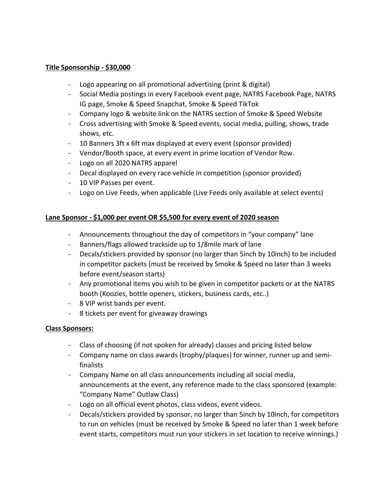#### **Title Sponsorship - \$30,000**

- Logo appearing on all promotional advertising (print & digital)
- Social Media postings in every Facebook event page, NATRS Facebook Page, NATRS IG page, Smoke & Speed Snapchat, Smoke & Speed TikTok
- Company logo & website link on the NATRS section of Smoke & Speed Website
- Cross advertising with Smoke & Speed events, social media, pulling, shows, trade shows, etc.
- 10 Banners 3ft x 6ft max displayed at every event (sponsor provided)
- Vendor/Booth space, at every event in prime location of Vendor Row.
- Logo on all 2020 NATRS apparel
- Decal displayed on every race vehicle in competition (sponsor provided)
- 10 VIP Passes per event.
- Logo on Live Feeds, when applicable (Live Feeds only available at select events)

### **Lane Sponsor - \$1,000 per event OR \$5,500 for every event of 2020 season**

- Announcements throughout the day of competitors in "your company" lane
- Banners/flags allowed trackside up to 1/8mile mark of lane
- Decals/stickers provided by sponsor (no larger than 5inch by 10inch) to be included in competitor packets (must be received by Smoke & Speed no later than 3 weeks before event/season starts)
- Any promotional items you wish to be given in competitor packets or at the NATRS booth (Koozies, bottle openers, stickers, business cards, etc..)
- 8 VIP wrist bands per event.
- 8 tickets per event for giveaway drawings

### **Class Sponsors:**

- Class of choosing (if not spoken for already) classes and pricing listed below
- Company name on class awards (trophy/plaques) for winner, runner up and semifinalists
- Company Name on all class announcements including all social media, announcements at the event, any reference made to the class sponsored (example: "Company Name" Outlaw Class)
- Logo on all official event photos, class videos, event videos.
- Decals/stickers provided by sponsor, no larger than 5inch by 10inch, for competitors to run on vehicles (must be received by Smoke & Speed no later than 1 week before event starts, competitors must run your stickers in set location to receive winnings.)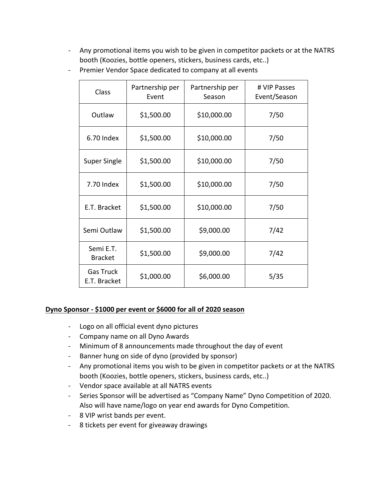- Any promotional items you wish to be given in competitor packets or at the NATRS booth (Koozies, bottle openers, stickers, business cards, etc..)

| Class                            | Partnership per<br>Event | Partnership per<br>Season | # VIP Passes<br>Event/Season |
|----------------------------------|--------------------------|---------------------------|------------------------------|
| Outlaw                           | \$1,500.00               | \$10,000.00               | 7/50                         |
| 6.70 Index                       | \$1,500.00               | \$10,000.00               | 7/50                         |
| Super Single                     | \$1,500.00               | \$10,000.00               | 7/50                         |
| 7.70 Index                       | \$1,500.00               | \$10,000.00               | 7/50                         |
| E.T. Bracket                     | \$1,500.00               | \$10,000.00               | 7/50                         |
| Semi Outlaw                      | \$1,500.00               | \$9,000.00                | 7/42                         |
| Semi E.T.<br><b>Bracket</b>      | \$1,500.00               | \$9,000.00                | 7/42                         |
| <b>Gas Truck</b><br>E.T. Bracket | \$1,000.00               | \$6,000.00                | 5/35                         |

- Premier Vendor Space dedicated to company at all events

### **Dyno Sponsor - \$1000 per event or \$6000 for all of 2020 season**

- Logo on all official event dyno pictures
- Company name on all Dyno Awards
- Minimum of 8 announcements made throughout the day of event
- Banner hung on side of dyno (provided by sponsor)
- Any promotional items you wish to be given in competitor packets or at the NATRS booth (Koozies, bottle openers, stickers, business cards, etc..)
- Vendor space available at all NATRS events
- Series Sponsor will be advertised as "Company Name" Dyno Competition of 2020. Also will have name/logo on year end awards for Dyno Competition.
- 8 VIP wrist bands per event.
- 8 tickets per event for giveaway drawings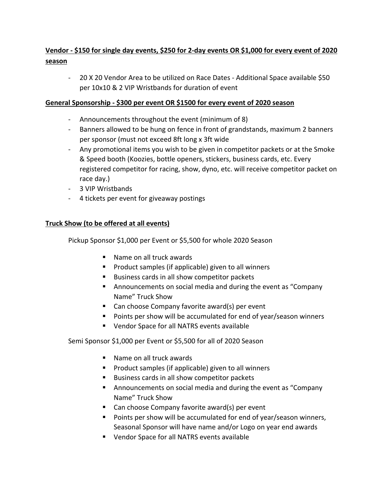# **Vendor - \$150 for single day events, \$250 for 2-day events OR \$1,000 for every event of 2020 season**

- 20 X 20 Vendor Area to be utilized on Race Dates - Additional Space available \$50 per 10x10 & 2 VIP Wristbands for duration of event

# **General Sponsorship - \$300 per event OR \$1500 for every event of 2020 season**

- Announcements throughout the event (minimum of 8)
- Banners allowed to be hung on fence in front of grandstands, maximum 2 banners per sponsor (must not exceed 8ft long x 3ft wide
- Any promotional items you wish to be given in competitor packets or at the Smoke & Speed booth (Koozies, bottle openers, stickers, business cards, etc. Every registered competitor for racing, show, dyno, etc. will receive competitor packet on race day.)
- 3 VIP Wristbands
- 4 tickets per event for giveaway postings

# **Truck Show (to be offered at all events)**

Pickup Sponsor \$1,000 per Event or \$5,500 for whole 2020 Season

- Name on all truck awards
- Product samples (if applicable) given to all winners
- Business cards in all show competitor packets
- Announcements on social media and during the event as "Company Name" Truck Show
- Can choose Company favorite award(s) per event
- Points per show will be accumulated for end of year/season winners
- Vendor Space for all NATRS events available

Semi Sponsor \$1,000 per Event or \$5,500 for all of 2020 Season

- Name on all truck awards
- Product samples (if applicable) given to all winners
- Business cards in all show competitor packets
- § Announcements on social media and during the event as "Company Name" Truck Show
- Can choose Company favorite award(s) per event
- Points per show will be accumulated for end of year/season winners, Seasonal Sponsor will have name and/or Logo on year end awards
- Vendor Space for all NATRS events available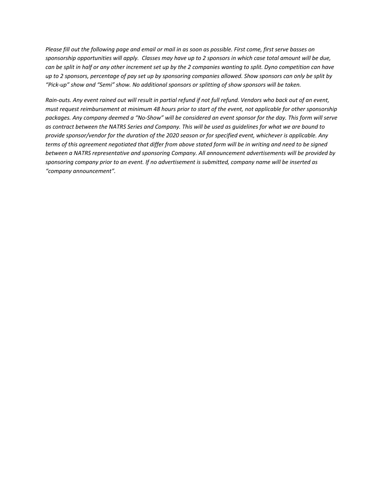*Please fill out the following page and email or mail in as soon as possible. First come, first serve basses on sponsorship opportunities will apply. Classes may have up to 2 sponsors in which case total amount will be due, can be split in half or any other increment set up by the 2 companies wanting to split. Dyno competition can have up to 2 sponsors, percentage of pay set up by sponsoring companies allowed. Show sponsors can only be split by "Pick-up" show and "Semi" show. No additional sponsors or splitting of show sponsors will be taken.* 

*Rain-outs. Any event rained out will result in partial refund if not full refund. Vendors who back out of an event, must request reimbursement at minimum 48 hours prior to start of the event, not applicable for other sponsorship packages. Any company deemed a "No-Show" will be considered an event sponsor for the day. This form will serve as contract between the NATRS Series and Company. This will be used as guidelines for what we are bound to provide sponsor/vendor for the duration of the 2020 season or for specified event, whichever is applicable. Any terms of this agreement negotiated that differ from above stated form will be in writing and need to be signed between a NATRS representative and sponsoring Company. All announcement advertisements will be provided by sponsoring company prior to an event. If no advertisement is submitted, company name will be inserted as "company announcement".*